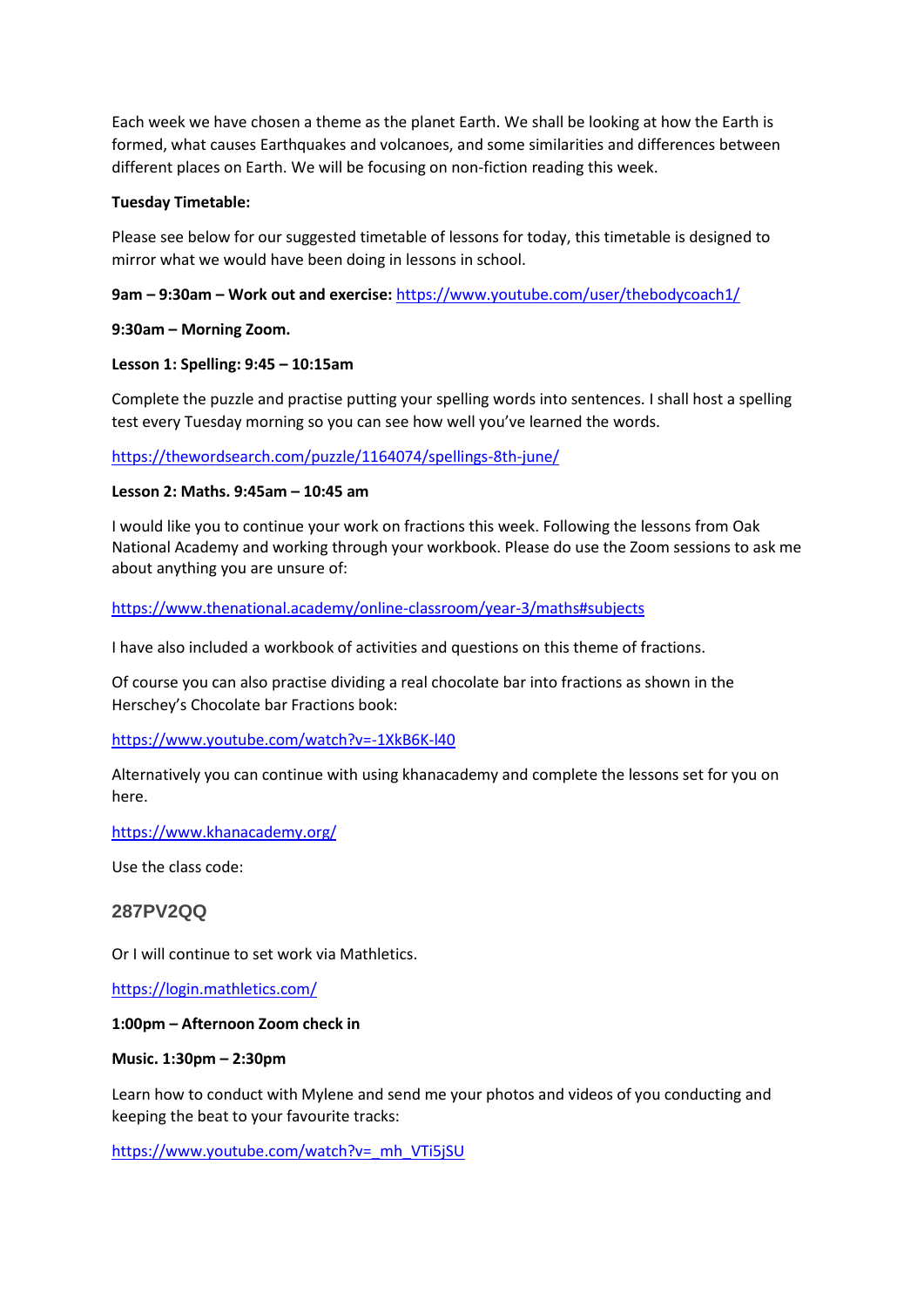Each week we have chosen a theme as the planet Earth. We shall be looking at how the Earth is formed, what causes Earthquakes and volcanoes, and some similarities and differences between different places on Earth. We will be focusing on non-fiction reading this week.

### **Tuesday Timetable:**

Please see below for our suggested timetable of lessons for today, this timetable is designed to mirror what we would have been doing in lessons in school.

**9am – 9:30am – Work out and exercise:** <https://www.youtube.com/user/thebodycoach1/>

### **9:30am – Morning Zoom.**

## **Lesson 1: Spelling: 9:45 – 10:15am**

Complete the puzzle and practise putting your spelling words into sentences. I shall host a spelling test every Tuesday morning so you can see how well you've learned the words.

<https://thewordsearch.com/puzzle/1164074/spellings-8th-june/>

### **Lesson 2: Maths. 9:45am – 10:45 am**

I would like you to continue your work on fractions this week. Following the lessons from Oak National Academy and working through your workbook. Please do use the Zoom sessions to ask me about anything you are unsure of:

<https://www.thenational.academy/online-classroom/year-3/maths#subjects>

I have also included a workbook of activities and questions on this theme of fractions.

Of course you can also practise dividing a real chocolate bar into fractions as shown in the Herschey's Chocolate bar Fractions book:

<https://www.youtube.com/watch?v=-1XkB6K-l40>

Alternatively you can continue with using khanacademy and complete the lessons set for you on here.

<https://www.khanacademy.org/>

Use the class code:

# **287PV2QQ**

Or I will continue to set work via Mathletics.

<https://login.mathletics.com/>

### **1:00pm – Afternoon Zoom check in**

### **Music. 1:30pm – 2:30pm**

Learn how to conduct with Mylene and send me your photos and videos of you conducting and keeping the beat to your favourite tracks:

[https://www.youtube.com/watch?v=\\_mh\\_VTi5jSU](https://www.youtube.com/watch?v=_mh_VTi5jSU)